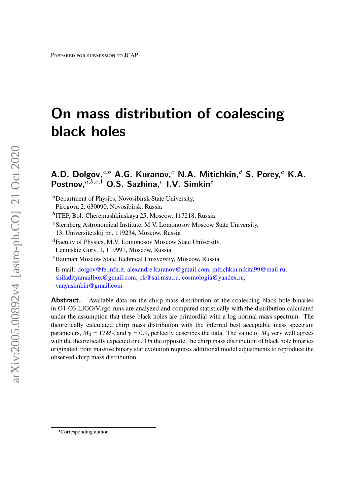# On mass distribution of coalescing black holes

# A.D. Dolgov, $^{a,b}$  A.G. Kuranov, $^c$  N.A. Mitichkin, $^d$  S. Porey, $^a$  K.A. Postnov, $a,b,c,1}$  O.S. Sazhina, $c$  I.V. Simkin $e$

Department of Physics, Novosibirsk State University,

Pirogova 2, 630090, Novosibirsk, Russia

<sup>b</sup>ITEP, Bol. Cheremushkinskaya 25, Moscow, 117218, Russia

 $c$ Sternberg Astronomical Institute, M.V. Lomonosov Moscow State University,

13, Universitetskij pr., 119234, Moscow, Russia

Faculty of Physics, M.V. Lomonosov Moscow State University,

Leninskie Gory, 1, 119991, Moscow, Russia

Bauman Moscow State Technical Unisversity, Moscow, Russia

E-mail: [dolgov@fe.infn.it,](mailto:dolgov@fe.infn.it) [alexandre.kuranov@gmail.com,](mailto:alexandre.kuranov@gmail.com) [mitichkin.nikita99@mail.ru,](mailto:mitichkin.nikita99@mail.ru) [shiladityamailbox@gmail.com,](mailto:shiladityamailbox@gmail.com) [pk@sai.msu.ru,](mailto:pk@sai.msu.ru) [cosmologia@yandex.ru,](mailto:cosmologia@yandex.ru) [vanyasimkin@gmail.com](mailto:vanyasimkin@gmail.com)

**Abstract.** Available data on the chirp mass distribution of the coalescing black hole binaries in O1-O3 LIGO/Virgo runs are analyzed and compared statistically with the distribution calculated under the assumption that these black holes are primordial with a log-normal mass spectrum. The theoretically calculated chirp mass distribution with the inferred best acceptable mass spectrum parameters,  $M_0 = 17M_{\odot}$  and  $\gamma = 0.9$ , perfectly describes the data. The value of  $M_0$  very well agrees with the theoretically expected one. On the opposite, the chirp mass distribution of black hole binaries originated from massive binary star evolution requires additional model adjustments to reproduce the observed chirp mass distribution.

<sup>1</sup>Corresponding author.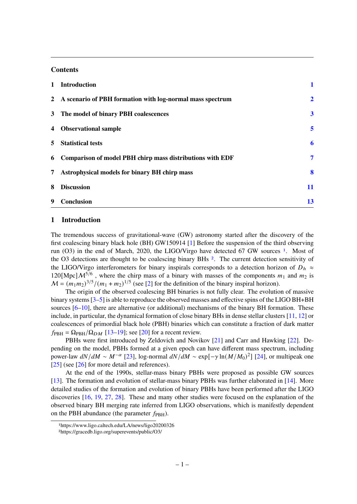#### **Contents**

|                | 1 Introduction                                              |                |
|----------------|-------------------------------------------------------------|----------------|
|                | 2 A scenario of PBH formation with log-normal mass spectrum | $\overline{2}$ |
|                | 3 The model of binary PBH coalescences                      | $\mathbf{3}$   |
|                | 4 Observational sample                                      | 5              |
|                | 5 Statistical tests                                         | 6              |
| 6              | Comparison of model PBH chirp mass distributions with EDF   | 7              |
| 7 <sup>7</sup> | <b>Astrophysical models for binary BH chirp mass</b>        | 8              |
| 8              | <b>Discussion</b>                                           | 11             |
| -9             | <b>Conclusion</b>                                           | 13             |

# <span id="page-1-0"></span>**1 Introduction**

The tremendous success of gravitational-wave (GW) astronomy started after the discovery of the first coalescing binary black hole (BH) GW150914 [\[1\]](#page-14-0) Before the suspension of the third observing run (O3) in the end of March, 2020, the LIGO/Virgo have detected 67 GW sources [1](#page-1-1). Most of the O3 detections are thought to be coalescing binary BHs [2](#page-1-2). The current detection sensitivity of the LIGO/Virgo interferometers for binary inspirals corresponds to a detection horizon of  $D_h \approx$ 120[Mpc] $\mathcal{M}^{5/6}$ , where the chirp mass of a binary with masses of the components  $m_1$  and  $m_2$  is  $M = (m_1 m_2)^{3/5} / (m_1 + m_2)^{1/5}$  (see [\[2\]](#page-14-1) for the definition of the binary inspiral horizon).

The origin of the observed coalescing BH binaries is not fully clear. The evolution of massive binary systems [\[3–](#page-14-2)[5\]](#page-14-3) is able to reproduce the observed masses and effective spins of the LIGO BH+BH sources [\[6](#page-14-4)[–10\]](#page-15-0), there are alternative (or additional) mechanisms of the binary BH formation. These include, in particular, the dynamical formation of close binary BHs in dense stellar clusters [\[11,](#page-15-1) [12\]](#page-15-2) or coalescences of primordial black hole (PBH) binaries which can constitute a fraction of dark matter  $f_{\text{PBH}} = \Omega_{\text{PBH}} / \Omega_{DM}$  [\[13–](#page-15-3)[19\]](#page-15-4); see [\[20\]](#page-15-5) for a recent review.

PBHs were first introduced by Zeldovich and Novikov [\[21\]](#page-15-6) and Carr and Hawking [\[22\]](#page-15-7). Depending on the model, PBHs formed at a given epoch can have different mass spectrum, including power-law  $dN/dM \sim M^{-\alpha}$  [\[23\]](#page-15-8), log-normal  $dN/dM \sim \exp[-\gamma \ln(M/M_0)^2]$  [\[24\]](#page-15-9), or multipeak one [\[25\]](#page-15-10) (see [\[26\]](#page-15-11) for more detail and references).

At the end of the 1990s, stellar-mass binary PBHs were proposed as possible GW sources [\[13\]](#page-15-3). The formation and evolution of stellar-mass binary PBHs was further elaborated in [\[14\]](#page-15-12). More detailed studies of the formation and evolution of binary PBHs have been performed after the LIGO discoveries [\[16,](#page-15-13) [19,](#page-15-4) [27,](#page-15-14) [28\]](#page-15-15). These and many other studies were focused on the explanation of the observed binary BH merging rate inferred from LIGO observations, which is manifestly dependent on the PBH abundance (the parameter  $f_{\rm PBH}$ ).

<span id="page-1-1"></span><sup>1</sup>https://www.ligo.caltech.edu/LA/news/ligo20200326

<span id="page-1-2"></span><sup>2</sup>https://gracedb.ligo.org/superevents/public/O3/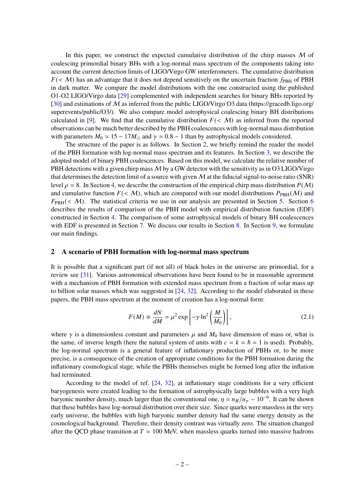In this paper, we construct the expected cumulative distribution of the chirp masses  $M$  of coalescing primordial binary BHs with a log-normal mass spectrum of the components taking into account the current detection limits of LIGO/Virgo GW interferometers. The cumulative distribution  $F(\langle M \rangle)$  has an advantage that it does not depend sensitively on the uncertain fraction  $f_{\rm PBH}$  of PBH in dark matter. We compare the model distributions with the one constructed using the published O1-O2 LIGO/Virgo data [\[29\]](#page-15-16) complemented with independent searches for binary BHs reported by [\[30\]](#page-16-0) and estimations of M as inferred from the public LIGO/Virgo O3 data (https://gracedb.ligo.org/ superevents/public/O3/). We also compare model astrophysical coalescing binary BH distributions calculated in [\[9\]](#page-15-17). We find that the cumulative distribution  $F(\langle M \rangle)$  as inferred from the reported observations can be much better described by the PBH coalescences with log-normal mass distribution with parameters  $M_0 \simeq 15 - 17 M_{\odot}$  and  $\gamma \simeq 0.8 - 1$  than by astrophysical models considered.

The structure of the paper is as follows. In Section [2,](#page-2-0) we briefly remind the reader the model of the PBH formation with log-normal mass spectrum and its features. In Section [3,](#page-3-0) we describe the adopted model of binary PBH coalescences. Based on this model, we calculate the relative number of PBH detections with a given chirp mass  $M$  by a GW detector with the sensitivity as in O3 LIGO/Virgo that determines the detection limit of a source with given  $M$  at the fiducial signal-to-noise ratio (SNR) level  $\rho = 8$ . In Section [4,](#page-5-0) we describe the construction of the empirical chirp mass distribution  $P(M)$ and cumulative function  $F(\langle M \rangle)$ , which are compared with our model distributions  $P_{\text{PBH}}(M)$  and  $F_{\text{PBH}}( $M$ ). The statistical criteria we use in our analysis are presented in Section 5. Section 6.$  $F_{\text{PBH}}( $M$ ). The statistical criteria we use in our analysis are presented in Section 5. Section 6.$  $F_{\text{PBH}}( $M$ ). The statistical criteria we use in our analysis are presented in Section 5. Section 6.$  $F_{\text{PBH}}( $M$ ). The statistical criteria we use in our analysis are presented in Section 5. Section 6.$  $F_{\text{PBH}}( $M$ ). The statistical criteria we use in our analysis are presented in Section 5. Section 6.$ describes the results of comparison of the PBH model with empirical distribution function (EDF) constructed in Section [4.](#page-5-0) The comparison of some astrophysical models of binary BH coalescences with EDF is presented in Section [7.](#page-8-0) We discuss our results in Section [8.](#page-11-0) In Section [9,](#page-13-0) we formulate our main findings.

# <span id="page-2-0"></span>**2 A scenario of PBH formation with log-normal mass spectrum**

It is possible that a significant part (if not all) of black holes in the universe are primordial, for a review see [\[31\]](#page-16-1). Various astronomical observations have been found to be in reasonable agreement with a mechanism of PBH formation with extended mass spectrum from a fraction of solar mass up to billion solar masses which was suggested in [\[24,](#page-15-9) [32\]](#page-16-2). According to the model elaborated in these papers, the PBH mass spectrum at the moment of creation has a log-normal form:

<span id="page-2-1"></span>
$$
F(M) = \frac{dN}{dM} = \mu^2 \exp\left[-\gamma \ln^2\left(\frac{M}{M_0}\right)\right],
$$
\n(2.1)

where  $\gamma$  is a dimensionless constant and parameters  $\mu$  and  $M_0$  have dimension of mass or, what is the same, of inverse length (here the natural system of units with  $c = k = \hbar = 1$  is used). Probably, the log-normal spectrum is a general feature of inflationary production of PBHs or, to be more precise, is a consequence of the creation of appropriate conditions for the PBH formation during the inflationary cosmological stage, while the PBHs themselves might be formed long after the inflation had terminated.

According to the model of ref. [\[24,](#page-15-9) [32\]](#page-16-2), at inflationary stage conditions for a very efficient baryogenesis were created leading to the formation of astrophysically large bubbles with a very high baryonic number density, much larger than the conventional one,  $\eta = n_B/n_\gamma \sim 10^{-9}$ . It can be shown that these bubbles have log-normal distribution over their size. Since quarks were massless in the very early universe, the bubbles with high baryonic number density had the same energy density as the cosmological background. Therefore, their density contrast was virtually zero. The situation changed after the QCD phase transition at  $T \approx 100$  MeV, when massless quarks turned into massive hadrons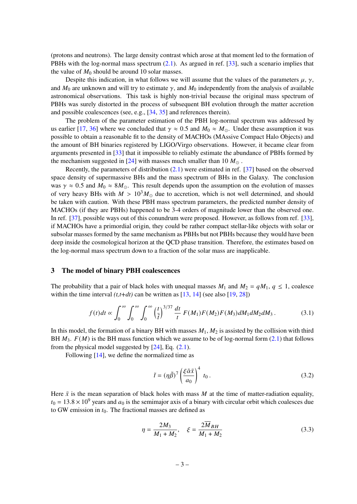(protons and neutrons). The large density contrast which arose at that moment led to the formation of PBHs with the log-normal mass spectrum [\(2.1\)](#page-2-1). As argued in ref. [\[33\]](#page-16-3), such a scenario implies that the value of  $M_0$  should be around 10 solar masses.

Despite this indication, in what follows we will assume that the values of the parameters  $\mu$ ,  $\gamma$ , and  $M_0$  are unknown and will try to estimate  $\gamma$ , and  $M_0$  independently from the analysis of available astronomical observations. This task is highly non-trivial because the original mass spectrum of PBHs was surely distorted in the process of subsequent BH evolution through the matter accretion and possible coalescences (see, e.g., [\[34,](#page-16-4) [35\]](#page-16-5) and references therein).

The problem of the parameter estimation of the PBH log-normal spectrum was addressed by us earlier [\[17,](#page-15-18) [36\]](#page-16-6) where we concluded that  $\gamma \approx 0.5$  and  $M_0 \approx M_{\odot}$ . Under these assumption it was possible to obtain a reasonable fit to the density of MACHOs (MAssive Compact Halo Objects) and the amount of BH binaries registered by LIGO/Virgo observations. However, it became clear from arguments presented in [\[33\]](#page-16-3) that it impossible to reliably estimate the abundance of PBHs formed by the mechanism suggested in [\[24\]](#page-15-9) with masses much smaller than 10  $M_{\odot}$ .

Recently, the parameters of distribution [\(2.1\)](#page-2-1) were estimated in ref. [\[37\]](#page-16-7) based on the observed space density of supermassive BHs and the mass spectrum of BHs in the Galaxy. The conclusion was  $\gamma \approx 0.5$  and  $M_0 \approx 8M_{\odot}$ . This result depends upon the assumption on the evolution of masses of very heavy BHs with  $M > 10<sup>3</sup>M<sub>o</sub>$  due to accretion, which is not well determined, and should be taken with caution. With these PBH mass spectrum parameters, the predicted number density of MACHOs (if they are PBHs) happened to be 3-4 orders of magnitude lower than the observed one. In ref. [\[37\]](#page-16-7), possible ways out of this conundrum were proposed. However, as follows from ref. [\[33\]](#page-16-3), if MACHOs have a primordial origin, they could be rather compact stellar-like objects with solar or subsolar masses formed by the same mechanism as PBHs but not PBHs because they would have been deep inside the cosmological horizon at the QCD phase transition. Therefore, the estimates based on the log-normal mass spectrum down to a fraction of the solar mass are inapplicable.

#### <span id="page-3-0"></span>**3 The model of binary PBH coalescences**

The probability that a pair of black holes with unequal masses  $M_1$  and  $M_2 = qM_1$ ,  $q \le 1$ , coalesce within the time interval  $(t, t+dt)$  can be written as  $[13, 14]$  $[13, 14]$  $[13, 14]$  (see also  $[19, 28]$  $[19, 28]$  $[19, 28]$ )

$$
f(t)dt \propto \int_0^\infty \int_0^\infty \int_0^\infty \left(\frac{t}{\tilde{t}}\right)^{3/37} \frac{dt}{t} F(M_1)F(M_2)F(M_3)dM_1dM_2dM_3.
$$
 (3.1)

In this model, the formation of a binary BH with masses  $M_1, M_2$  is assisted by the collision with third BH  $M_3$ .  $F(M)$  is the BH mass function which we assume to be of log-normal form [\(2.1\)](#page-2-1) that follows from the physical model suggested by  $[24]$ , Eq.  $(2.1)$ .

Following [\[14\]](#page-15-12), we define the normalized time as

$$
\tilde{t} = (\eta \tilde{\beta})^7 \left( \frac{\xi \tilde{\alpha} \bar{x}}{a_0} \right)^4 t_0.
$$
\n(3.2)

Here  $\bar{x}$  is the mean separation of black holes with mass M at the time of matter-radiation equality,  $t_0 = 13.8 \times 10^9$  years and  $a_0$  is the semimajor axis of a binary with circular orbit which coalesces due to GW emission in  $t_0$ . The fractional masses are defined as

$$
\eta = \frac{2M_3}{M_1 + M_2}, \quad \xi = \frac{2\overline{M}_{BH}}{M_1 + M_2} \tag{3.3}
$$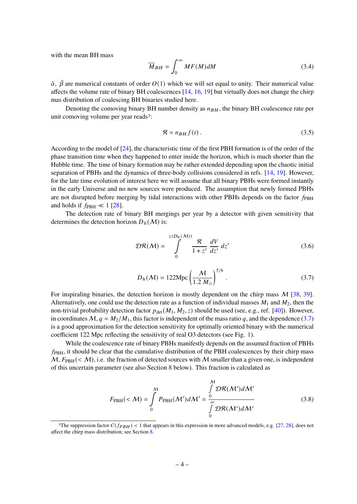with the mean BH mass

$$
\overline{M}_{BH} = \int_0^\infty MF(M)dM \tag{3.4}
$$

 $\tilde{\alpha}$ ,  $\tilde{\beta}$  are numerical constants of order  $O(1)$  which we will set equal to unity. Their numerical value affects the volume rate of binary BH coalescences  $[14, 16, 19]$  $[14, 16, 19]$  $[14, 16, 19]$  $[14, 16, 19]$  $[14, 16, 19]$  but virtually does not change the chirp mas distribution of coalescing BH binaries studied here.

Denoting the comoving binary BH number density as  $n_{BH}$ , the binary BH coalescence rate per unit comoving volume per year reads<sup>[3](#page-4-0)</sup>:

$$
\mathcal{R} = n_{BH} f(t) \,. \tag{3.5}
$$

According to the model of [\[24\]](#page-15-9), the characteristic time of the first PBH formation is of the order of the phase transition time when they happened to enter inside the horizon, which is much shorter than the Hubble time. The time of binary formation may be rather extended depending upon the chaotic initial separation of PBHs and the dynamics of three-body collisions considered in refs. [\[14,](#page-15-12) [19\]](#page-15-4). However, for the late time evolution of interest here we will assume that all binary PBHs were formed instantly in the early Universe and no new sources were produced. The assumption that newly formed PBHs are not disrupted before merging by tidal interactions with other PBHs depends on the factor  $f_{\rm PBH}$ and holds if  $f_{\rm PBH} \ll 1$  [\[28\]](#page-15-15).

The detection rate of binary BH mergings per year by a detector with given sensitivity that determines the detection horizon  $D_h(\mathcal{M})$  is:

$$
\mathcal{DR}(\mathcal{M}) = \int_{0}^{z(D_h(\mathcal{M}))} \frac{\mathcal{R}}{1+z'} \frac{dV}{dz'} dz'
$$
 (3.6)

<span id="page-4-1"></span>
$$
D_h(\mathcal{M}) = 122 \text{Mpc} \left(\frac{\mathcal{M}}{1.2 \text{ M}_\odot}\right)^{5/6} \,. \tag{3.7}
$$

For inspiraling binaries, the detection horizon is mostly dependent on the chirp mass  $M$  [\[38,](#page-16-8) [39\]](#page-16-9). Alternatively, one could use the detection rate as a function of individual masses  $M_1$  and  $M_2$ , then the non-trivial probability detection factor  $p_{\text{det}}(M_1, M_2, z)$  should be used (see, e.g., ref. [\[40\]](#page-16-10)). However, in coordinates  $M$ ,  $q = M_2/M_1$ , this factor is independent of the mass ratio q, and the dependence [\(3.7\)](#page-4-1) is a good approximation for the detection sensitivity for optimally oriented binary with the numerical coefficient 122 Mpc reflecting the sensitivity of real O3 detectors (see Fig. [1\)](#page-5-1).

While the coalescence rate of binary PBHs manifestly depends on the assumed fraction of PBHs  $f_{\rm PBH}$ , it should be clear that the cumulative distribution of the PBH coalescences by their chirp mass  $M$ ,  $F_{PBH}$ (< M), i.e. the fraction of detected sources with M smaller than a given one, is independent of this uncertain parameter (see also Section [8](#page-11-0) below). This fraction is calculated as

$$
F_{\rm PBH}(<\mathcal{M}) = \int_{0}^{\mathcal{M}} P_{\rm PBH}(\mathcal{M}') d\mathcal{M}' = \frac{\int_{0}^{\mathcal{M}} \mathcal{D}\mathcal{R}(\mathcal{M}') d\mathcal{M}'}{\int_{0}^{\infty} \mathcal{D}\mathcal{R}(\mathcal{M}') d\mathcal{M}'} \qquad (3.8)
$$

<span id="page-4-0"></span><sup>&</sup>lt;sup>3</sup>The suppression factor  $C(f_{PBH})$  < 1 that appears in this expression in more advanced models, e.g. [\[27,](#page-15-14) [28\]](#page-15-15), does not affect the chirp mass distribution; see Section [8.](#page-11-0)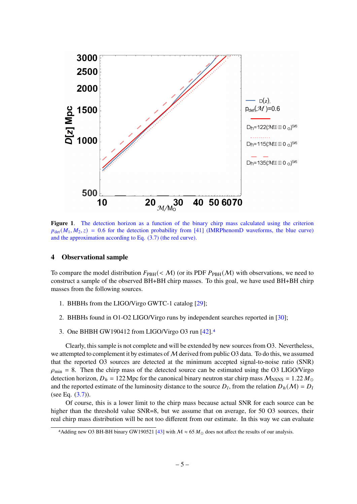

<span id="page-5-1"></span>**Figure 1**. The detection horizon as a function of the binary chirp mass calculated using the criterion  $p_{\text{det}}(M_1, M_2, z) = 0.6$  for the detection probability from [\[41\]](#page-16-11) (IMRPhenomD waveforms, the blue curve) and the approximation according to Eq. [\(3.7\)](#page-4-1) (the red curve).

#### <span id="page-5-0"></span>**4 Observational sample**

To compare the model distribution  $F_{\text{PBH}}( $M$ ) (or its PDF  $P_{\text{PBH}}(M)$  with observations, we need to$ construct a sample of the observed BH+BH chirp masses. To this goal, we have used BH+BH chirp masses from the following sources.

- 1. BHBHs from the LIGO/Virgo GWTC-1 catalog [\[29\]](#page-15-16);
- 2. BHBHs found in O1-O2 LIGO/Virgo runs by independent searches reported in [\[30\]](#page-16-0);
- 3. One BHBH GW190412 from LIGO/Virgo O3 run [\[42\]](#page-16-12).[4](#page-5-2)

Clearly, this sample is not complete and will be extended by new sources from O3. Nevertheless, we attempted to complement it by estimates of  $M$  derived from public O3 data. To do this, we assumed that the reported O3 sources are detected at the minimum accepted signal-to-noise ratio (SNR)  $\rho_{\text{min}} = 8$ . Then the chirp mass of the detected source can be estimated using the O3 LIGO/Virgo detection horizon,  $D_h = 122$  Mpc for the canonical binary neutron star chirp mass  $M_{\text{NSNS}} = 1.22 M_{\odot}$ and the reported estimate of the luminosity distance to the source  $D_l$ , from the relation  $D_h(M) = D_l$ (see Eq.  $(3.7)$ ).

Of course, this is a lower limit to the chirp mass because actual SNR for each source can be higher than the threshold value SNR=8, but we assume that on average, for 50 O3 sources, their real chirp mass distribution will be not too different from our estimate. In this way we can evaluate

<span id="page-5-2"></span><sup>4</sup> Adding new O3 BH-BH binary GW190521 [\[43\]](#page-16-13) with  $M \approx 65 M_{\odot}$  does not affect the results of our analysis.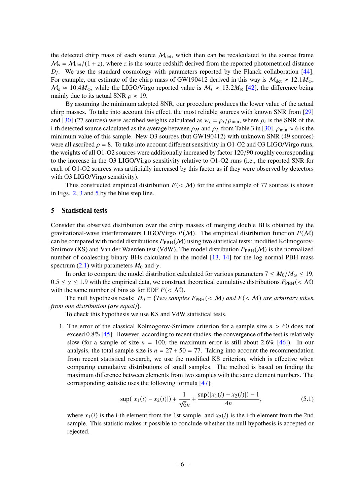the detected chirp mass of each source  $M_{\text{det}}$ , which then can be recalculated to the source frame  $M_s = M_{\text{det}}/(1+z)$ , where z is the source redshift derived from the reported photometrical distance  $D_l$ . We use the standard cosmology with parameters reported by the Planck collaboration [\[44\]](#page-16-14). For example, our estimate of the chirp mass of GW190412 derived in this way is  $M_{\text{det}} \approx 12.1 M_{\odot}$ ,  $M_s \approx 10.4 M_{\odot}$ , while the LIGO/Virgo reported value is  $M_s \approx 13.2 M_{\odot}$  [\[42\]](#page-16-12), the difference being mainly due to its actual SNR  $\rho \approx 19$ .

By assuming the minimum adopted SNR, our procedure produces the lower value of the actual chirp masses. To take into account this effect, the most reliable sources with known SNR from [\[29\]](#page-15-16) and [\[30\]](#page-16-0) (27 sources) were ascribed weights calculated as  $w_i = \rho_i / \rho_{min}$ , where  $\rho_i$  is the SNR of the i-th detected source calculated as the average between  $\rho_H$  and  $\rho_L$  from Table 3 in [\[30\]](#page-16-0),  $\rho_{\min} \approx 6$  is the minimum value of this sample. New O3 sources (but GW190412) with unknown SNR (49 sources) were all ascribed  $\rho = 8$ . To take into account different sensitivity in O1-O2 and O3 LIGO/Virgo runs, the weights of all O1-O2 sources were additionally increased by factor 120/90 roughly corresponding to the increase in the O3 LIGO/Virgo sensitivity relative to O1-O2 runs (i.e., the reported SNR for each of O1-O2 sources was artificially increased by this factor as if they were observed by detectors with O3 LIGO/Virgo sensitivity).

Thus constructed empirical distribution  $F(\langle M \rangle)$  for the entire sample of 77 sources is shown in Figs. [2,](#page-8-1) [3](#page-9-0) and [5](#page-12-0) by the blue step line.

#### <span id="page-6-0"></span>**5 Statistical tests**

Consider the observed distribution over the chirp masses of merging double BHs obtained by the gravitational-wave interferometers LIGO/Virgo  $P(M)$ . The empirical distribution function  $P(M)$ can be compared with model distributions  $P_{PBH}(M)$  using two statistical tests: modified Kolmogorov-Smirnov (KS) and Van der Waerden test (VdW). The model distribution  $P_{PBH}(\mathcal{M})$  is the normalized number of coalescing binary BHs calculated in the model [\[13,](#page-15-3) [14\]](#page-15-12) for the log-normal PBH mass spectrum [\(2.1\)](#page-2-1) with parameters  $M_0$  and  $\gamma$ .

In order to compare the model distribution calculated for various parameters  $7 \le M_0/M_{\odot} \le 19$ ,  $0.5 \le \gamma \le 1.9$  with the empirical data, we construct theoretical cumulative distributions  $F_{\text{PBH}}(< \mathcal{M})$ with the same number of bins as for EDF  $F(\leq M)$ .

The null hypothesis reads:  $H_0 = \{Two\ samples\ F_{PBH}(*M*)\ and\ F(*M*)\ are arbitrary taken$ *from one distribution (are equal)*}.

To check this hypothesis we use KS and VdW statistical tests.

1. The error of the classical Kolmogorov-Smirnov criterion for a sample size  $n > 60$  does not exceed 0.8% [\[45\]](#page-16-15). However, according to recent studies, the convergence of the test is relatively slow (for a sample of size  $n = 100$ , the maximum error is still about 2.6% [\[46\]](#page-16-16)). In our analysis, the total sample size is  $n = 27 + 50 = 77$ . Taking into account the recommendation from recent statistical research, we use the modified KS criterion, which is effective when comparing cumulative distributions of small samples. The method is based on finding the maximum difference between elements from two samples with the same element numbers. The corresponding statistic uses the following formula [\[47\]](#page-16-17):

$$
\sup(|x_1(i) - x_2(i)|) + \frac{1}{\sqrt{6}n} + \frac{\sup(|x_1(i) - x_2(i)|) - 1}{4n},\tag{5.1}
$$

where  $x_1(i)$  is the i-th element from the 1st sample, and  $x_2(i)$  is the i-th element from the 2nd sample. This statistic makes it possible to conclude whether the null hypothesis is accepted or rejected.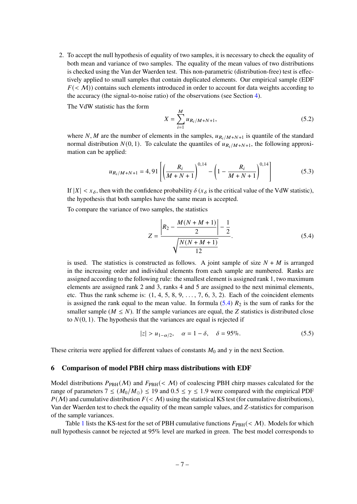2. To accept the null hypothesis of equality of two samples, it is necessary to check the equality of both mean and variance of two samples. The equality of the mean values of two distributions is checked using the Van der Waerden test. This non-parametric (distribution-free) test is effectively applied to small samples that contain duplicated elements. Our empirical sample (EDF  $F(\langle M \rangle)$  contains such elements introduced in order to account for data weights according to the accuracy (the signal-to-noise ratio) of the observations (see Section [4\)](#page-5-0).

The VdW statistic has the form

$$
X = \sum_{i=1}^{M} u_{R_i/M + N + 1},
$$
\n(5.2)

where N, M are the number of elements in the samples,  $u_{R_i/M+N+1}$  is quantile of the standard normal distribution  $N(0, 1)$ . To calculate the quantiles of  $u_{R_i/M+N+1}$ , the following approximation can be applied:

$$
u_{R_i/M+N+1} = 4,91 \left[ \left( \frac{R_i}{M+N+1} \right)^{0,14} - \left( 1 - \frac{R_i}{M+N+1} \right)^{0,14} \right]
$$
(5.3)

If  $|X| < x_{\delta}$ , then with the confidence probability  $\delta(x_{\delta})$  is the critical value of the VdW statistic), the hypothesis that both samples have the same mean is accepted.

To compare the variance of two samples, the statistics

<span id="page-7-1"></span>
$$
Z = \frac{\left| R_2 - \frac{M(N+M+1)}{2} \right| - \frac{1}{2}}{\sqrt{\frac{N(N+M+1)}{12}}}.
$$
\n(5.4)

is used. The statistics is constructed as follows. A joint sample of size  $N + M$  is arranged in the increasing order and individual elements from each sample are numbered. Ranks are assigned according to the following rule: the smallest element is assigned rank 1, two maximum elements are assigned rank 2 and 3, ranks 4 and 5 are assigned to the next minimal elements, etc. Thus the rank scheme is:  $(1, 4, 5, 8, 9, \ldots, 7, 6, 3, 2)$ . Each of the coincident elements is assigned the rank equal to the mean value. In formula  $(5.4)$   $R_2$  is the sum of ranks for the smaller sample ( $M \leq N$ ). If the sample variances are equal, the Z statistics is distributed close to  $N(0, 1)$ . The hypothesis that the variances are equal is rejected if

$$
|z| > u_{1-\alpha/2}, \quad \alpha = 1 - \delta, \quad \delta = 95\%.
$$
 (5.5)

These criteria were applied for different values of constants  $M_0$  and  $\gamma$  in the next Section.

#### <span id="page-7-0"></span>**6 Comparison of model PBH chirp mass distributions with EDF**

Model distributions  $P_{PBH}(\mathcal{M})$  and  $F_{PBH}(\mathcal{M})$  of coalescing PBH chirp masses calculated for the range of parameters  $7 \le (M_0/M_{\odot}) \le 19$  and  $0.5 \le \gamma \le 1.9$  were compared with the empirical PDF  $P(M)$  and cumulative distribution  $F(\langle M \rangle)$  using the statistical KS test (for cumulative distributions), Van der Waerden test to check the equality of the mean sample values, and Z-statistics for comparison of the sample variances.

Table [1](#page-9-1) lists the KS-test for the set of PBH cumulative functions  $F_{PBH}( $M$ ). Models for which$ null hypothesis cannot be rejected at 95% level are marked in green. The best model corresponds to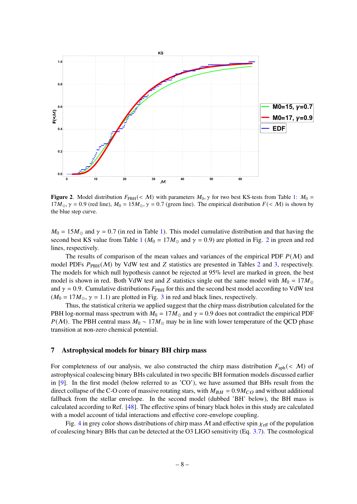

<span id="page-8-1"></span>**Figure 2**. Model distribution  $F_{PBH}( $M$ )$  with parameters  $M_0$ ,  $\gamma$  for two best KS-tests from Table [1:](#page-9-1)  $M_0 =$  $17M_{\odot}$ ,  $\gamma = 0.9$  (red line),  $M_0 = 15M_{\odot}$ ,  $\gamma = 0.7$  (green line). The empirical distribution  $F \ll M$ ) is shown by the blue step curve.

 $M_0 = 15M_{\odot}$  and  $\gamma = 0.7$  (in red in Table [1\)](#page-9-1). This model cumulative distribution and that having the second best KS value from Table [1](#page-9-1) ( $M_0 = 17M_{\odot}$  and  $\gamma = 0.9$ ) are plotted in Fig. [2](#page-8-1) in green and red lines, respectively.

The results of comparison of the mean values and variances of the empirical PDF  $P(M)$  and model PDFs  $P_{\text{PBH}}(\mathcal{M})$  by VdW test and Z statistics are presented in Tables [2](#page-10-0) and [3,](#page-10-1) respectively. The models for which null hypothesis cannot be rejected at 95% level are marked in green, the best model is shown in red. Both VdW test and Z statistics single out the same model with  $M_0 = 17 M_{\odot}$ and  $\gamma = 0.9$ . Cumulative distributions  $F_{PBH}$  for this and the second best model according to VdW test  $(M_0 = 17M_{\odot}, \gamma = 1.1)$  are plotted in Fig. [3](#page-9-0) in red and black lines, respectively.

Thus, the statistical criteria we applied suggest that the chirp mass distribution calculated for the PBH log-normal mass spectrum with  $M_0 = 17 M_{\odot}$  and  $\gamma = 0.9$  does not contradict the empirical PDF  $P(M)$ . The PBH central mass  $M_0 \sim 17 M_{\odot}$  may be in line with lower temperature of the QCD phase transition at non-zero chemical potential.

# <span id="page-8-0"></span>**7 Astrophysical models for binary BH chirp mass**

For completeness of our analysis, we also constructed the chirp mass distribution  $F_{\text{aph}}( $M$ )$  of astrophysical coalescing binary BHs calculated in two specific BH formation models discussed earlier in [\[9\]](#page-15-17). In the first model (below referred to as 'CO'), we have assumed that BHs result from the direct collapse of the C-O core of massive rotating stars, with  $M_{BH} = 0.9 M_{CO}$  and without additional fallback from the stellar envelope. In the second model (dubbed 'BH' below), the BH mass is calculated according to Ref. [\[48\]](#page-16-18). The effective spins of binary black holes in this study are calculated with a model account of tidal interactions and effective core-envelope coupling.

Fig. [4](#page-11-1) in grey color shows distributions of chirp mass M and effective spin  $\chi_{\text{eff}}$  of the population of coalescing binary BHs that can be detected at the O3 LIGO sensitivity (Eq. [3.7\)](#page-4-1). The cosmological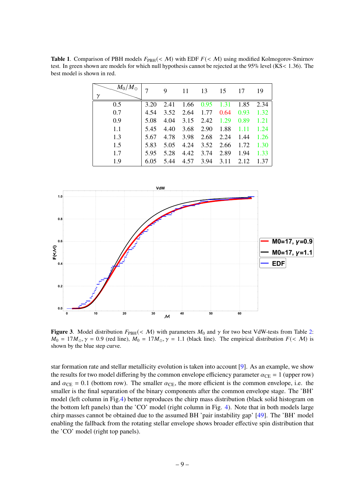<span id="page-9-1"></span>**Table 1.** Comparison of PBH models  $F_{PBH}( $M$ ) with EDF  $F( $M$ ) using modified Kolmogorov-Smirnov$$ test. In green shown are models for which null hypothesis cannot be rejected at the 95% level (KS< 1.36). The best model is shown in red.

| $M_0/M_\odot$<br>γ |      | 9    | 11   | 13   | 15   | 17   | 19   |
|--------------------|------|------|------|------|------|------|------|
| 0.5                | 3.20 | 2.41 | 1.66 | 0.95 | 1.31 | 1.85 | 2.34 |
| 0.7                | 4.54 | 3.52 | 2.64 | 1.77 | 0.64 | 0.93 | 1.32 |
| 0.9                | 5.08 | 4.04 | 3.15 | 2.42 | 1.29 | 0.89 | 1.21 |
| 1.1                | 5.45 | 4.40 | 3.68 | 2.90 | 1.88 | 1.11 | 1.24 |
| 1.3                | 5.67 | 4.78 | 3.98 | 2.68 | 2.24 | 1.44 | 1.26 |
| 1.5                | 5.83 | 5.05 | 4.24 | 3.52 | 2.66 | 1.72 | 1.30 |
| 1.7                | 5.95 | 5.28 | 4.42 | 3.74 | 2.89 | 1.94 | 1.33 |
| 1.9                | 6.05 | 5.44 | 4.57 | 3.94 | 3.11 | 2.12 | 1.37 |



<span id="page-9-0"></span>**Figure 3**. Model distribution  $F_{PBH}( $M$ )$  with parameters  $M_0$  and  $\gamma$  for two best VdW-tests from Table [2:](#page-10-0)  $M_0 = 17M_{\odot}$ ,  $\gamma = 0.9$  (red line),  $M_0 = 17M_{\odot}$ ,  $\gamma = 1.1$  (black line). The empirical distribution  $F(< M)$  is shown by the blue step curve.

star formation rate and stellar metallicity evolution is taken into account [\[9\]](#page-15-17). As an example, we show the results for two model differing by the common envelope efficiency parameter  $\alpha_{\text{CE}} = 1$  (upper row) and  $\alpha_{\text{CE}} = 0.1$  (bottom row). The smaller  $\alpha_{\text{CE}}$ , the more efficient is the common envelope, i.e. the smaller is the final separation of the binary components after the common envelope stage. The 'BH' model (left column in Fig[.4\)](#page-11-1) better reproduces the chirp mass distribution (black solid histogram on the bottom left panels) than the 'CO' model (right column in Fig. [4\)](#page-11-1). Note that in both models large chirp masses cannot be obtained due to the assumed BH 'pair instability gap' [\[49\]](#page-16-19). The 'BH' model enabling the fallback from the rotating stellar envelope shows broader effective spin distribution that the 'CO' model (right top panels).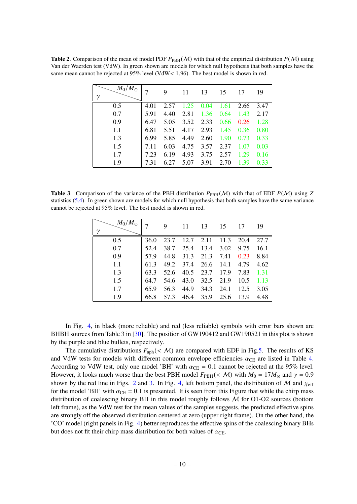<span id="page-10-0"></span>**Table 2**. Comparison of the mean of model PDF  $P_{PBH}(\mathcal{M})$  with that of the empirical distribution  $P(\mathcal{M})$  using Van der Waerden test (VdW). In green shown are models for which null hypothesis that both samples have the same mean cannot be rejected at 95% level (VdW< 1.96). The best model is shown in red.

| $M_0/M_{\odot}$ |      | 9    | 11   | 13   | 15   | 17   | 19   |
|-----------------|------|------|------|------|------|------|------|
| 0.5             | 4.01 | 2.57 | 1.25 | 0.04 | 1.61 | 2.66 | 3.47 |
| 0.7             | 5.91 | 4.40 | 2.81 | 1.36 | 0.64 | 1.43 | 2.17 |
| 0.9             | 6.47 | 5.05 | 3.52 | 2.33 | 0.66 | 0.26 | 1.28 |
| 1.1             | 6.81 | 5.51 | 4.17 | 2.93 | 1.45 | 0.36 | 0.80 |
| 1.3             | 6.99 | 5.85 | 4.49 | 2.60 | 1.90 | 0.73 | 0.33 |
| 1.5             | 7.11 | 6.03 | 4.75 | 3.57 | 2.37 | 1.07 | 0.03 |
| 1.7             | 7.23 | 6.19 | 4.93 | 3.75 | 2.57 | 1.29 | 0.16 |
| 1.9             | 7.31 | 6.27 | 5.07 | 3.91 | 2.70 | 1.39 | 0.33 |

<span id="page-10-1"></span>**Table 3.** Comparison of the variance of the PBH distribution  $P_{\text{PBH}}(\mathcal{M})$  with that of EDF  $P(\mathcal{M})$  using Z statistics [\(5.4\)](#page-7-1). In green shown are models for which null hypothesis that both samples have the same variance cannot be rejected at 95% level. The best model is shown in red.

| $M_0/M_{\odot}$<br>$\gamma$ |      | 9    | 11   | 13                   | 15   | 17   | 19   |
|-----------------------------|------|------|------|----------------------|------|------|------|
| 0.5                         | 36.0 | 23.7 |      | $12.7$ $2.11$ $11.3$ |      | 20.4 | 27.7 |
| 0.7                         | 52.4 | 38.7 | 25.4 | 13.4                 | 3.02 | 9.75 | 16.1 |
| 0.9                         | 57.9 | 44.8 | 31.3 | 21.3                 | 7.41 | 0.23 | 8.84 |
| 1.1                         | 61.3 | 49.2 | 37.4 | 26.6                 | 14.1 | 4.79 | 4.62 |
| 1.3                         | 63.3 | 52.6 |      | 40.5 23.7 17.9       |      | 7.83 | 1.31 |
| 1.5                         | 64.7 | 54.6 | 43.0 | 32.5                 | 21.9 | 10.5 | 1.13 |
| 1.7                         | 65.9 | 56.3 | 44.9 | 34.3                 | 24.1 | 12.5 | 3.05 |
| 1.9                         | 66.8 | 57.3 | 46.4 | 35.9                 | 25.6 | 13.9 | 4.48 |

In Fig. [4,](#page-11-1) in black (more reliable) and red (less reliable) symbols with error bars shown are BHBH sources from Table 3 in [\[30\]](#page-16-0). The position of GW190412 and GW190521 in this plot is shown by the purple and blue bullets, respectively.

The cumulative distributions  $F_{\text{aph}}( $M$ )$  are compared with EDF in Fig[.5.](#page-12-0) The results of KS and VdW tests for models with different common envelope efficiencies  $\alpha_{\text{CE}}$  are listed in Table [4.](#page-11-2) According to VdW test, only one model 'BH' with  $\alpha_{CE} = 0.1$  cannot be rejected at the 95% level. However, it looks much worse than the best PBH model  $F_{PBH}( $M$ ) with  $M_0 = 17M_{\odot}$  and  $\gamma = 0.9$$ shown by the red line in Figs. [2](#page-8-1) and [3.](#page-9-0) In Fig. [4,](#page-11-1) left bottom panel, the distribution of M and  $\chi_{\text{eff}}$ for the model 'BH' with  $\alpha_{\rm CE} = 0.1$  is presented. It is seen from this Figure that while the chirp mass distribution of coalescing binary BH in this model roughly follows  $M$  for O1-O2 sources (bottom left frame), as the VdW test for the mean values of the samples suggests, the predicted effective spins are strongly off the observed distribution centered at zero (upper right frame). On the other hand, the 'CO' model (right panels in Fig. [4\)](#page-11-1) better reproduces the effective spins of the coalescing binary BHs but does not fit their chirp mass distribution for both values of  $\alpha_{\text{CE}}$ .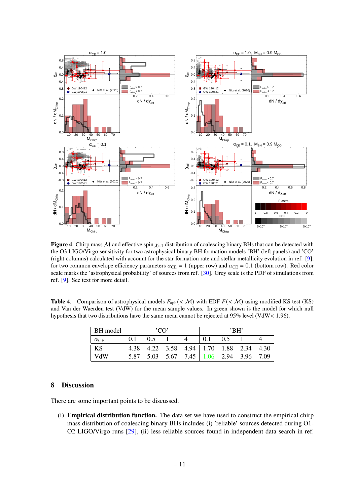

<span id="page-11-1"></span>**Figure 4.** Chirp mass M and effective spin  $\chi_{\text{eff}}$  distribution of coalescing binary BHs that can be detected with the O3 LIGO/Virgo sensitivity for two astrophysical binary BH formation models 'BH' (left panels) and 'CO' (right columns) calculated with account for the star formation rate and stellar metallicity evolution in ref. [\[9\]](#page-15-17), for two common envelope efficiency parameters  $\alpha_{\text{CE}} = 1$  (upper row) and  $\alpha_{\text{CE}} = 0.1$  (bottom row). Red color scale marks the 'astrophysical probability' of sources from ref. [\[30\]](#page-16-0). Grey scale is the PDF of simulations from ref. [\[9\]](#page-15-17). See text for more detail.

<span id="page-11-2"></span>**Table 4.** Comparison of astrophysical models  $F_{\text{aph}}( $M$ ) with EDF  $F( $M$ ) using modified KS test (KS)$$ and Van der Waerden test (VdW) for the mean sample values. In green shown is the model for which null hypothesis that two distributions have the same mean cannot be rejected at 95% level (VdW< 1.96).

| BH model    | 'CD' |           |  |                                         | 'RH' |     |  |  |
|-------------|------|-----------|--|-----------------------------------------|------|-----|--|--|
| $\alpha$ CE | 0.1  | $0.5 \t1$ |  |                                         | 0.1  | 0.5 |  |  |
| $\vert$ KS  |      |           |  | 4.38 4.22 3.58 4.94 1.70 1.88 2.34 4.30 |      |     |  |  |
| VdW         |      |           |  | 5.87 5.03 5.67 7.45 1.06 2.94 3.96 7.09 |      |     |  |  |

### <span id="page-11-0"></span>**8 Discussion**

There are some important points to be discussed.

(i) **Empirical distribution function.** The data set we have used to construct the empirical chirp mass distribution of coalescing binary BHs includes (i) 'reliable' sources detected during O1- O2 LIGO/Virgo runs [\[29\]](#page-15-16), (ii) less reliable sources found in independent data search in ref.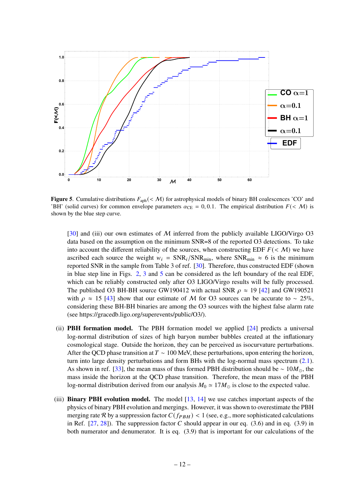

<span id="page-12-0"></span>**Figure 5.** Cumulative distributions  $F_{\text{aph}}( $M$ ) for astrophysical models of binary BH coalescences 'CO' and$ 'BH' (solid curves) for common envelope parameters  $\alpha_{CE} = 0, 0.1$ . The empirical distribution  $F(\langle M \rangle)$  is shown by the blue step curve.

[\[30\]](#page-16-0) and (iii) our own estimates of  $M$  inferred from the publicly available LIGO/Virgo O3 data based on the assumption on the minimum SNR=8 of the reported O3 detections. To take into account the different reliability of the sources, when constructing EDF  $F(\langle M \rangle)$  we have ascribed each source the weight  $w_i = SNR_i / SNR_{\text{min}}$ , where  $SNR_{\text{min}} \approx 6$  is the minimum reported SNR in the sample from Table 3 of ref. [\[30\]](#page-16-0). Therefore, thus constructed EDF (shown in blue step line in Figs. [2,](#page-8-1) [3](#page-9-0) and [5](#page-12-0) can be considered as the left boundary of the real EDF, which can be reliably constructed only after O3 LIGO/Virgo results will be fully processed. The published O3 BH-BH source GW190412 with actual SNR  $\rho \approx 19$  [\[42\]](#page-16-12) and GW190521 with  $\rho \approx 15$  [\[43\]](#page-16-13) show that our estimate of M for O3 sources can be accurate to ~ 25%, considering these BH-BH binaries are among the O3 sources with the highest false alarm rate (see https://gracedb.ligo.org/superevents/public/O3/).

- (ii) **PBH formation model.** The PBH formation model we applied [\[24\]](#page-15-9) predicts a universal log-normal distribution of sizes of high baryon number bubbles created at the inflationary cosmological stage. Outside the horizon, they can be perceived as isocurvature perturbations. After the QCD phase transition at  $T \sim 100$  MeV, these perturbations, upon entering the horizon, turn into large density perturbations and form BHs with the log-normal mass spectrum [\(2.1\)](#page-2-1). As shown in ref. [\[33\]](#page-16-3), the mean mass of thus formed PBH distribution should be  $\sim 10M_{\odot}$ , the mass inside the horizon at the QCD phase transition. Therefore, the mean mass of the PBH log-normal distribution derived from our analysis  $M_0 \approx 17 M_{\odot}$  is close to the expected value.
- (iii) **Binary PBH evolution model.** The model [\[13,](#page-15-3) [14\]](#page-15-12) we use catches important aspects of the physics of binary PBH evolution and mergings. However, it was shown to overestimate the PBH merging rate R by a suppression factor  $C(f_{PBH}) < 1$  (see, e.g., more sophisticated calculations in Ref.  $[27, 28]$  $[27, 28]$  $[27, 28]$ ). The suppression factor C should appear in our eq.  $(3.6)$  and in eq.  $(3.9)$  in both numerator and denumerator. It is eq. (3.9) that is important for our calculations of the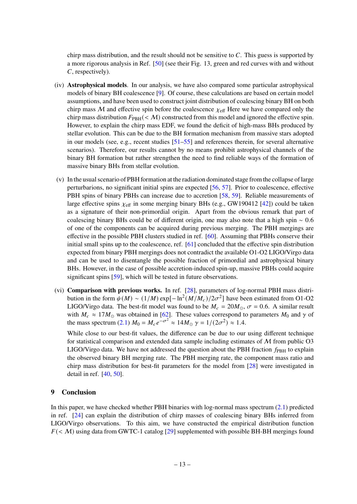chirp mass distribution, and the result should not be sensitive to  $C$ . This guess is supported by a more rigorous analysis in Ref. [\[50\]](#page-16-20) (see their Fig. 13, green and red curves with and without C, respectively).

- (iv) **Astrophysical models**. In our analysis, we have also compared some particular astrophysical models of binary BH coalescence [\[9\]](#page-15-17). Of course, these calculations are based on certain model assumptions, and have been used to construct joint distribution of coalescing binary BH on both chirp mass M and effective spin before the coalescence  $\chi_{\text{eff}}$  Here we have compared only the chirp mass distribution  $F_{PBH}( $\mathcal{M}$ )$  constructed from this model and ignored the effective spin. However, to explain the chirp mass EDF, we found the deficit of high-mass BHs produced by stellar evolution. This can be due to the BH formation mechanism from massive stars adopted in our models (see, e.g., recent studies [\[51–](#page-17-0)[55\]](#page-17-1) and references therein, for several alternative scenarios). Therefore, our results cannot by no means prohibit astrophysical channels of the binary BH formation but rather strengthen the need to find reliable ways of the formation of massive binary BHs from stellar evolution.
- (v) In the usual scenario of PBH formation at the radiation dominated stage from the collapse of large perturbarions, no significant initial spins are expected [\[56,](#page-17-2) [57\]](#page-17-3). Prior to coalescence, effective PBH spins of binary PBHs can increase due to accretion [\[58,](#page-17-4) [59\]](#page-17-5). Reliable measurements of large effective spins  $\chi$ <sub>eff</sub> in some merging binary BHs (e.g., GW190412 [\[42\]](#page-16-12)) could be taken as a signature of their non-primordial origin. Apart from the obvious remark that part of coalescing binary BHs could be of different origin, one may also note that a high spin ∼ 0.6 of one of the components can be acquired during previous merging. The PBH mergings are effective in the possible PBH clusters studied in ref. [\[60\]](#page-17-6). Assuming that PBHs conserve their initial small spins up to the coalescence, ref. [\[61\]](#page-17-7) concluded that the effective spin distribution expected from binary PBH mergings does not contradict the available O1-O2 LIGO/Virgo data and can be used to disentangle the possible fraction of primordial and astrophysical binary BHs. However, in the case of possible accretion-induced spin-up, massive PBHs could acquire significant spins [\[59\]](#page-17-5), which will be tested in future observations.
- (vi) **Comparison with previous works.** In ref. [\[28\]](#page-15-15), parameters of log-normal PBH mass distribution in the form  $\psi(M) \sim (1/M) \exp[-\ln^2(M/M_c)/2\sigma^2]$  have been estimated from O1-O2 LIGO/Virgo data. The best-fit model was found to be  $M_c = 20 M_{\odot}$ ,  $\sigma = 0.6$ . A similar result with  $M_c \approx 17 M_{\odot}$  was obtained in [\[62\]](#page-17-8). These values correspond to parameters  $M_0$  and  $\gamma$  of the mass spectrum [\(2.1\)](#page-2-1)  $M_0 = M_c e^{-\sigma^2} \approx 14 M_{\odot} \gamma = 1/(2\sigma^2) \approx 1.4$ .

While close to our best-fit values, the difference can be due to our using different technique for statistical comparison and extended data sample including estimates of  $M$  from public O3 LIGO/Virgo data. We have not addressed the question about the PBH fraction  $f_{\rm PBH}$  to explain the observed binary BH merging rate. The PBH merging rate, the component mass ratio and chirp mass distribution for best-fit parameters for the model from [\[28\]](#page-15-15) were investigated in detail in ref. [\[40,](#page-16-10) [50\]](#page-16-20).

# <span id="page-13-0"></span>**9 Conclusion**

In this paper, we have checked whether PBH binaries with log-normal mass spectrum [\(2.1\)](#page-2-1) predicted in ref. [\[24\]](#page-15-9) can explain the distribution of chirp masses of coalescing binary BHs inferred from LIGO/Virgo observations. To this aim, we have constructed the empirical distribution function  $F(\leq M)$  using data from GWTC-1 catalog [\[29\]](#page-15-16) supplemented with possible BH-BH mergings found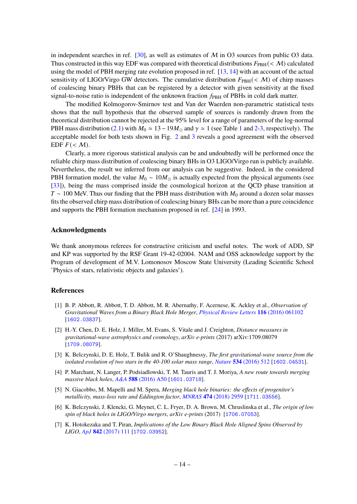in independent searches in ref.  $[30]$ , as well as estimates of M in O3 sources from public O3 data. Thus constructed in this way EDF was compared with theoretical distributions  $F_{\text{PRH}}( $M$ ) calculated$ using the model of PBH merging rate evolution proposed in ref. [\[13,](#page-15-3) [14\]](#page-15-12) with an account of the actual sensitivity of LIGO/Virgo GW detectors. The cumulative distribution  $F_{\text{PBH}}( $M$ )$  of chirp masses of coalescing binary PBHs that can be registered by a detector with given sensitivity at the fixed signal-to-noise ratio is independent of the unknown fraction  $f_{\rm PBH}$  of PBHs in cold dark matter.

The modified Kolmogorov-Smirnov test and Van der Waerden non-parametric statistical tests shows that the null hypothesis that the observed sample of sources is randomly drawn from the theoretical distribution cannot be rejected at the 95% level for a range of parameters of the log-normal PBH mass distribution [\(2.1\)](#page-2-1) with  $M_0 \simeq 13 - 19M_{\odot}$  $M_0 \simeq 13 - 19M_{\odot}$  $M_0 \simeq 13 - 19M_{\odot}$  and  $\gamma \simeq 1$  (see Table 1 and [2-](#page-10-0)[3,](#page-10-1) respectively). The acceptable model for both tests shown in Fig. [2](#page-8-1) and [3](#page-9-0) reveals a good agreement with the observed EDF  $F( $M$ ).$ 

Clearly, a more rigorous statistical analysis can be and undoubtedly will be performed once the reliable chirp mass distribution of coalescing binary BHs in O3 LIGO/Virgo run is publicly available. Nevertheless, the result we inferred from our analysis can be suggestive. Indeed, in the considered PBH formation model, the value  $M_0 \sim 10 M_{\odot}$  is actually expected from the physical arguments (see [\[33\]](#page-16-3)), being the mass comprised inside the cosmological horizon at the QCD phase transition at  $T \sim 100$  MeV. Thus our finding that the PBH mass distribution with  $M_0$  around a dozen solar masses fits the observed chirp mass distribution of coalescing binary BHs can be more than a pure coincidence and supports the PBH formation mechanism proposed in ref. [\[24\]](#page-15-9) in 1993.

#### **Acknowledgments**

We thank anonymous referees for constructive criticism and useful notes. The work of ADD, SP and KP was supported by the RSF Grant 19-42-02004. NAM and OSS acknowledge support by the Program of development of M.V. Lomonosov Moscow State University (Leading Scientific School 'Physics of stars, relativistic objects and galaxies').

#### **References**

- <span id="page-14-0"></span>[1] B. P. Abbott, R. Abbott, T. D. Abbott, M. R. Abernathy, F. Acernese, K. Ackley et al., *Observation of Gravitational Waves from a Binary Black Hole Merger*, *[Physical Review Letters](https://doi.org/10.1103/PhysRevLett.116.061102)* **116** (2016) 061102 [[1602.03837](https://arxiv.org/abs/1602.03837)].
- <span id="page-14-1"></span>[2] H.-Y. Chen, D. E. Holz, J. Miller, M. Evans, S. Vitale and J. Creighton, *Distance measures in gravitational-wave astrophysics and cosmology*, *arXiv e-prints* (2017) arXiv:1709.08079 [[1709.08079](https://arxiv.org/abs/1709.08079)].
- <span id="page-14-2"></span>[3] K. Belczynski, D. E. Holz, T. Bulik and R. O'Shaughnessy, *The first gravitational-wave source from the isolated evolution of two stars in the 40-100 solar mass range*, *Nature* **534** [\(2016\) 512](https://doi.org/10.1038/nature18322) [[1602.04531](https://arxiv.org/abs/1602.04531)].
- [4] P. Marchant, N. Langer, P. Podsiadlowski, T. M. Tauris and T. J. Moriya, *A new route towards merging massive black holes*, *A&A* **588** [\(2016\) A50](https://doi.org/10.1051/0004-6361/201628133) [[1601.03718](https://arxiv.org/abs/1601.03718)].
- <span id="page-14-3"></span>[5] N. Giacobbo, M. Mapelli and M. Spera, *Merging black hole binaries: the effects of progenitor's metallicity, mass-loss rate and Eddington factor*, *MNRAS* **474** [\(2018\) 2959](https://doi.org/10.1093/mnras/stx2933) [[1711.03556](https://arxiv.org/abs/1711.03556)].
- <span id="page-14-4"></span>[6] K. Belczynski, J. Klencki, G. Meynet, C. L. Fryer, D. A. Brown, M. Chruslinska et al., *The origin of low spin of black holes in LIGO/Virgo mergers*, *arXiv e-prints* (2017) [[1706.07053](https://arxiv.org/abs/1706.07053)].
- [7] K. Hotokezaka and T. Piran, *Implications of the Low Binary Black Hole Aligned Spins Observed by LIGO*, *ApJ* **842** [\(2017\) 111](https://doi.org/10.3847/1538-4357/aa6f61) [[1702.03952](https://arxiv.org/abs/1702.03952)].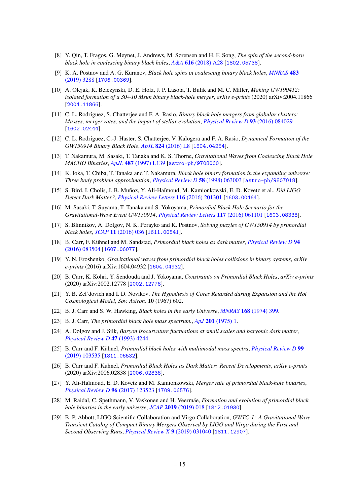- [8] Y. Qin, T. Fragos, G. Meynet, J. Andrews, M. Sørensen and H. F. Song, *The spin of the second-born black hole in coalescing binary black holes*, *A&A* **616** [\(2018\) A28](https://doi.org/10.1051/0004-6361/201832839) [[1802.05738](https://arxiv.org/abs/1802.05738)].
- <span id="page-15-17"></span>[9] K. A. Postnov and A. G. Kuranov, *Black hole spins in coalescing binary black holes*, *[MNRAS](https://doi.org/10.1093/mnras/sty3313)* **483** [\(2019\) 3288](https://doi.org/10.1093/mnras/sty3313) [[1706.00369](https://arxiv.org/abs/1706.00369)].
- <span id="page-15-0"></span>[10] A. Olejak, K. Belczynski, D. E. Holz, J. P. Lasota, T. Bulik and M. C. Miller, *Making GW190412: isolated formation of a 30+10 Msun binary black-hole merger*, *arXiv e-prints* (2020) arXiv:2004.11866 [[2004.11866](https://arxiv.org/abs/2004.11866)].
- <span id="page-15-1"></span>[11] C. L. Rodriguez, S. Chatterjee and F. A. Rasio, *Binary black hole mergers from globular clusters: Masses, merger rates, and the impact of stellar evolution*, *[Physical Review D](https://doi.org/10.1103/PhysRevD.93.084029)* **93** (2016) 084029 [[1602.02444](https://arxiv.org/abs/1602.02444)].
- <span id="page-15-2"></span>[12] C. L. Rodriguez, C.-J. Haster, S. Chatterjee, V. Kalogera and F. A. Rasio, *Dynamical Formation of the GW150914 Binary Black Hole*, *ApJL* **824** [\(2016\) L8](https://doi.org/10.3847/2041-8205/824/1/L8) [[1604.04254](https://arxiv.org/abs/1604.04254)].
- <span id="page-15-3"></span>[13] T. Nakamura, M. Sasaki, T. Tanaka and K. S. Thorne, *Gravitational Waves from Coalescing Black Hole MACHO Binaries*, *ApJL* **487** [\(1997\) L139](https://doi.org/10.1086/310886) [[astro-ph/9708060](https://arxiv.org/abs/astro-ph/9708060)].
- <span id="page-15-12"></span>[14] K. Ioka, T. Chiba, T. Tanaka and T. Nakamura, *Black hole binary formation in the expanding universe: Three body problem approximation*, *[Physical Review D](https://doi.org/10.1103/PhysRevD.58.063003)* **58** (1998) 063003 [[astro-ph/9807018](https://arxiv.org/abs/astro-ph/9807018)].
- [15] S. Bird, I. Cholis, J. B. Muñoz, Y. Ali-Haïmoud, M. Kamionkowski, E. D. Kovetz et al., *Did LIGO Detect Dark Matter?*, *[Physical Review Letters](https://doi.org/10.1103/PhysRevLett.116.201301)* **116** (2016) 201301 [[1603.00464](https://arxiv.org/abs/1603.00464)].
- <span id="page-15-13"></span>[16] M. Sasaki, T. Suyama, T. Tanaka and S. Yokoyama, *Primordial Black Hole Scenario for the Gravitational-Wave Event GW150914*, *[Physical Review Letters](https://doi.org/10.1103/PhysRevLett.117.061101)* **117** (2016) 061101 [[1603.08338](https://arxiv.org/abs/1603.08338)].
- <span id="page-15-18"></span>[17] S. Blinnikov, A. Dolgov, N. K. Porayko and K. Postnov, *Solving puzzles of GW150914 by primordial black holes*, *JCAP* **11** [\(2016\) 036](https://doi.org/10.1088/1475-7516/2016/11/036) [[1611.00541](https://arxiv.org/abs/1611.00541)].
- [18] B. Carr, F. Kühnel and M. Sandstad, *Primordial black holes as dark matter*, *[Physical Review D](https://doi.org/10.1103/PhysRevD.94.083504)* **94** [\(2016\) 083504](https://doi.org/10.1103/PhysRevD.94.083504) [[1607.06077](https://arxiv.org/abs/1607.06077)].
- <span id="page-15-4"></span>[19] Y. N. Eroshenko, *Gravitational waves from primordial black holes collisions in binary systems*, *arXiv e-prints* (2016) arXiv:1604.04932 [[1604.04932](https://arxiv.org/abs/1604.04932)].
- <span id="page-15-5"></span>[20] B. Carr, K. Kohri, Y. Sendouda and J. Yokoyama, *Constraints on Primordial Black Holes*, *arXiv e-prints* (2020) arXiv:2002.12778 [[2002.12778](https://arxiv.org/abs/2002.12778)].
- <span id="page-15-6"></span>[21] Y. B. Zel'dovich and I. D. Novikov, *The Hypothesis of Cores Retarded during Expansion and the Hot Cosmological Model*, *Sov. Astron.* **10** (1967) 602.
- <span id="page-15-7"></span>[22] B. J. Carr and S. W. Hawking, *Black holes in the early Universe*, *MNRAS* **168** [\(1974\) 399.](https://doi.org/10.1093/mnras/168.2.399)
- <span id="page-15-8"></span>[23] B. J. Carr, *The primordial black hole mass spectrum.*, *ApJ* **201** [\(1975\) 1.](https://doi.org/10.1086/153853)
- <span id="page-15-9"></span>[24] A. Dolgov and J. Silk, *Baryon isocurvature fluctuations at small scales and baryonic dark matter*, *[Physical Review D](https://doi.org/10.1103/PhysRevD.47.4244)* **47** (1993) 4244.
- <span id="page-15-10"></span>[25] B. Carr and F. Kühnel, *Primordial black holes with multimodal mass spectra*, *[Physical Review D](https://doi.org/10.1103/PhysRevD.99.103535)* **99** [\(2019\) 103535](https://doi.org/10.1103/PhysRevD.99.103535) [[1811.06532](https://arxiv.org/abs/1811.06532)].
- <span id="page-15-11"></span>[26] B. Carr and F. Kuhnel, *Primordial Black Holes as Dark Matter: Recent Developments*, *arXiv e-prints* (2020) arXiv:2006.02838 [[2006.02838](https://arxiv.org/abs/2006.02838)].
- <span id="page-15-14"></span>[27] Y. Ali-Haïmoud, E. D. Kovetz and M. Kamionkowski, *Merger rate of primordial black-hole binaries*, *[Physical Review D](https://doi.org/10.1103/PhysRevD.96.123523)* **96** (2017) 123523 [[1709.06576](https://arxiv.org/abs/1709.06576)].
- <span id="page-15-15"></span>[28] M. Raidal, C. Spethmann, V. Vaskonen and H. Veermäe, *Formation and evolution of primordial black hole binaries in the early universe*, *JCAP* **2019** [\(2019\) 018](https://doi.org/10.1088/1475-7516/2019/02/018) [[1812.01930](https://arxiv.org/abs/1812.01930)].
- <span id="page-15-16"></span>[29] B. P. Abbott, LIGO Scientific Collaboration and Virgo Collaboration, *GWTC-1: A Gravitational-Wave Transient Catalog of Compact Binary Mergers Observed by LIGO and Virgo during the First and Second Observing Runs*, *[Physical Review X](https://doi.org/10.1103/PhysRevX.9.031040)* **9** (2019) 031040 [[1811.12907](https://arxiv.org/abs/1811.12907)].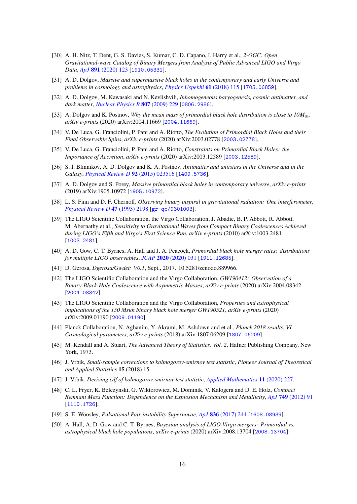- <span id="page-16-0"></span>[30] A. H. Nitz, T. Dent, G. S. Davies, S. Kumar, C. D. Capano, I. Harry et al., *2-OGC: Open Gravitational-wave Catalog of Binary Mergers from Analysis of Public Advanced LIGO and Virgo Data*, *ApJ* **891** [\(2020\) 123](https://doi.org/10.3847/1538-4357/ab733f) [[1910.05331](https://arxiv.org/abs/1910.05331)].
- <span id="page-16-1"></span>[31] A. D. Dolgov, *Massive and supermassive black holes in the contemporary and early Universe and problems in cosmology and astrophysics*, *[Physics Uspekhi](https://doi.org/10.3367/UFNe.2017.06.038153)* **61** (2018) 115 [[1705.06859](https://arxiv.org/abs/1705.06859)].
- <span id="page-16-2"></span>[32] A. D. Dolgov, M. Kawasaki and N. Kevlishvili, *Inhomogeneous baryogenesis, cosmic antimatter, and dark matter*, *[Nuclear Physics B](https://doi.org/10.1016/j.nuclphysb.2008.08.029)* **807** (2009) 229 [[0806.2986](https://arxiv.org/abs/0806.2986)].
- <span id="page-16-3"></span>[33] A. Dolgov and K. Postnov, *Why the mean mass of primordial black hole distribution is close to 10M*... *arXiv e-prints* (2020) arXiv:2004.11669 [[2004.11669](https://arxiv.org/abs/2004.11669)].
- <span id="page-16-4"></span>[34] V. De Luca, G. Franciolini, P. Pani and A. Riotto, *The Evolution of Primordial Black Holes and their Final Observable Spins*, *arXiv e-prints* (2020) arXiv:2003.02778 [[2003.02778](https://arxiv.org/abs/2003.02778)].
- <span id="page-16-5"></span>[35] V. De Luca, G. Franciolini, P. Pani and A. Riotto, *Constraints on Primordial Black Holes: the Importance of Accretion*, *arXiv e-prints* (2020) arXiv:2003.12589 [[2003.12589](https://arxiv.org/abs/2003.12589)].
- <span id="page-16-6"></span>[36] S. I. Blinnikov, A. D. Dolgov and K. A. Postnov, *Antimatter and antistars in the Universe and in the Galaxy*, *[Physical Review D](https://doi.org/10.1103/PhysRevD.92.023516)* **92** (2015) 023516 [[1409.5736](https://arxiv.org/abs/1409.5736)].
- <span id="page-16-7"></span>[37] A. D. Dolgov and S. Porey, *Massive primordial black holes in contemporary universe*, *arXiv e-prints* (2019) arXiv:1905.10972 [[1905.10972](https://arxiv.org/abs/1905.10972)].
- <span id="page-16-8"></span>[38] L. S. Finn and D. F. Chernoff, *Observing binary inspiral in gravitational radiation: One interferometer*, *[Physical Review D](https://doi.org/10.1103/PhysRevD.47.2198)* **47** (1993) 2198 [[gr-qc/9301003](https://arxiv.org/abs/gr-qc/9301003)].
- <span id="page-16-9"></span>[39] The LIGO Scientific Collaboration, the Virgo Collaboration, J. Abadie, B. P. Abbott, R. Abbott, M. Abernathy et al., *Sensitivity to Gravitational Waves from Compact Binary Coalescences Achieved during LIGO's Fifth and Virgo's First Science Run*, *arXiv e-prints* (2010) arXiv:1003.2481 [[1003.2481](https://arxiv.org/abs/1003.2481)].
- <span id="page-16-10"></span>[40] A. D. Gow, C. T. Byrnes, A. Hall and J. A. Peacock, *Primordial black hole merger rates: distributions for multiple LIGO observables*, *JCAP* **2020** [\(2020\) 031](https://doi.org/10.1088/1475-7516/2020/01/031) [[1911.12685](https://arxiv.org/abs/1911.12685)].
- <span id="page-16-11"></span>[41] D. Gerosa, *Dgerosa/Gwdet: V0.1*, Sept., 2017. 10.5281/zenodo.889966.
- <span id="page-16-12"></span>[42] The LIGO Scientific Collaboration and the Virgo Collaboration, *GW190412: Observation of a Binary-Black-Hole Coalescence with Asymmetric Masses*, *arXiv e-prints* (2020) arXiv:2004.08342 [[2004.08342](https://arxiv.org/abs/2004.08342)].
- <span id="page-16-13"></span>[43] The LIGO Scientific Collaboration and the Virgo Collaboration, *Properties and astrophysical implications of the 150 Msun binary black hole merger GW190521*, *arXiv e-prints* (2020) arXiv:2009.01190 [[2009.01190](https://arxiv.org/abs/2009.01190)].
- <span id="page-16-14"></span>[44] Planck Collaboration, N. Aghanim, Y. Akrami, M. Ashdown and et al., *Planck 2018 results. VI. Cosmological parameters*, *arXiv e-prints* (2018) arXiv:1807.06209 [[1807.06209](https://arxiv.org/abs/1807.06209)].
- <span id="page-16-15"></span>[45] M. Kendall and A. Stuart, *The Advanced Theory of Statistics. Vol. 2*. Hafner Publishing Company, New York, 1973.
- <span id="page-16-16"></span>[46] J. Vrbik, *Small-sample corrections to kolmogorov-smirnov test statistic*, *Pioneer Journal of Theoretical and Applied Statistics* **15** (2018) 15.
- <span id="page-16-17"></span>[47] J. Vrbik, *Deriving cdf of kolmogorov-smirnov test statistic*, *[Applied Mathematics](https://doi.org/10.4236/am.2020.113018)* **11** (2020) 227.
- <span id="page-16-18"></span>[48] C. L. Fryer, K. Belczynski, G. Wiktorowicz, M. Dominik, V. Kalogera and D. E. Holz, *Compact Remnant Mass Function: Dependence on the Explosion Mechanism and Metallicity*, *ApJ* **749** [\(2012\) 91](https://doi.org/10.1088/0004-637X/749/1/91) [[1110.1726](https://arxiv.org/abs/1110.1726)].
- <span id="page-16-19"></span>[49] S. E. Woosley, *Pulsational Pair-instability Supernovae*, *ApJ* **836** [\(2017\) 244](https://doi.org/10.3847/1538-4357/836/2/244) [[1608.08939](https://arxiv.org/abs/1608.08939)].
- <span id="page-16-20"></span>[50] A. Hall, A. D. Gow and C. T. Byrnes, *Bayesian analysis of LIGO-Virgo mergers: Primordial vs. astrophysical black hole populations*, *arXiv e-prints* (2020) arXiv:2008.13704 [[2008.13704](https://arxiv.org/abs/2008.13704)].